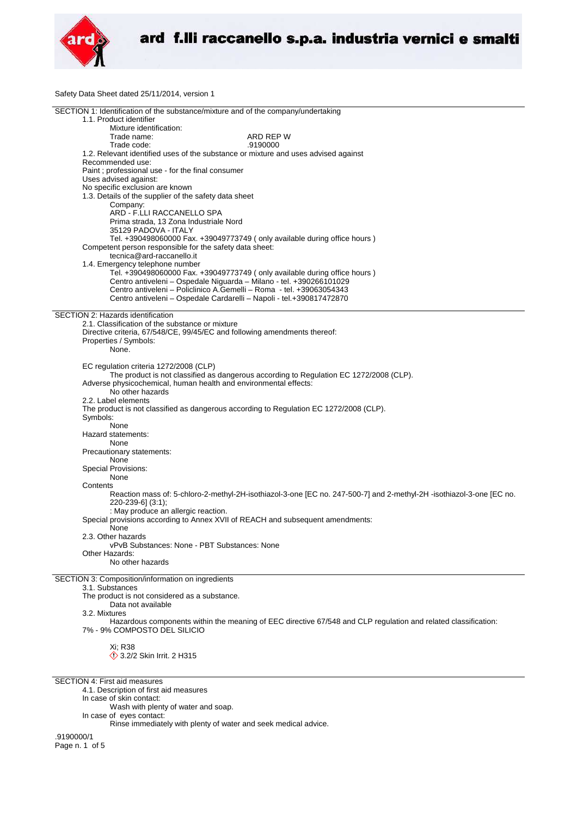

Safety Data Sheet dated 25/11/2014, version 1

| SECTION 1: Identification of the substance/mixture and of the company/undertaking      |                                                                                                                      |
|----------------------------------------------------------------------------------------|----------------------------------------------------------------------------------------------------------------------|
| 1.1. Product identifier                                                                |                                                                                                                      |
|                                                                                        |                                                                                                                      |
| Mixture identification:                                                                |                                                                                                                      |
| Trade name:                                                                            | ARD REP W                                                                                                            |
|                                                                                        | .9190000                                                                                                             |
| Trade code:                                                                            |                                                                                                                      |
| 1.2. Relevant identified uses of the substance or mixture and uses advised against     |                                                                                                                      |
| Recommended use:                                                                       |                                                                                                                      |
|                                                                                        |                                                                                                                      |
| Paint ; professional use - for the final consumer                                      |                                                                                                                      |
| Uses advised against:                                                                  |                                                                                                                      |
| No specific exclusion are known                                                        |                                                                                                                      |
|                                                                                        |                                                                                                                      |
| 1.3. Details of the supplier of the safety data sheet                                  |                                                                                                                      |
| Company:                                                                               |                                                                                                                      |
| ARD - F.LLI RACCANELLO SPA                                                             |                                                                                                                      |
|                                                                                        |                                                                                                                      |
| Prima strada, 13 Zona Industriale Nord                                                 |                                                                                                                      |
| 35129 PADOVA - ITALY                                                                   |                                                                                                                      |
|                                                                                        |                                                                                                                      |
| Tel. +390498060000 Fax. +39049773749 (only available during office hours)              |                                                                                                                      |
| Competent person responsible for the safety data sheet:                                |                                                                                                                      |
| tecnica@ard-raccanello.it                                                              |                                                                                                                      |
|                                                                                        |                                                                                                                      |
| 1.4. Emergency telephone number                                                        |                                                                                                                      |
| Tel. +390498060000 Fax. +39049773749 (only available during office hours)              |                                                                                                                      |
| Centro antiveleni - Ospedale Niguarda - Milano - tel. +390266101029                    |                                                                                                                      |
|                                                                                        |                                                                                                                      |
| Centro antiveleni – Policlinico A.Gemelli – Roma - tel. +39063054343                   |                                                                                                                      |
| Centro antiveleni - Ospedale Cardarelli - Napoli - tel.+390817472870                   |                                                                                                                      |
|                                                                                        |                                                                                                                      |
|                                                                                        |                                                                                                                      |
| SECTION 2: Hazards identification                                                      |                                                                                                                      |
| 2.1. Classification of the substance or mixture                                        |                                                                                                                      |
|                                                                                        |                                                                                                                      |
| Directive criteria, 67/548/CE, 99/45/EC and following amendments thereof:              |                                                                                                                      |
| Properties / Symbols:                                                                  |                                                                                                                      |
| None.                                                                                  |                                                                                                                      |
|                                                                                        |                                                                                                                      |
|                                                                                        |                                                                                                                      |
| EC regulation criteria 1272/2008 (CLP)                                                 |                                                                                                                      |
|                                                                                        | The product is not classified as dangerous according to Regulation EC 1272/2008 (CLP).                               |
|                                                                                        |                                                                                                                      |
| Adverse physicochemical, human health and environmental effects:                       |                                                                                                                      |
| No other hazards                                                                       |                                                                                                                      |
|                                                                                        |                                                                                                                      |
| 2.2. Label elements                                                                    |                                                                                                                      |
| The product is not classified as dangerous according to Regulation EC 1272/2008 (CLP). |                                                                                                                      |
|                                                                                        |                                                                                                                      |
| Symbols:                                                                               |                                                                                                                      |
| None                                                                                   |                                                                                                                      |
| Hazard statements:                                                                     |                                                                                                                      |
|                                                                                        |                                                                                                                      |
| None                                                                                   |                                                                                                                      |
| Precautionary statements:                                                              |                                                                                                                      |
| None                                                                                   |                                                                                                                      |
|                                                                                        |                                                                                                                      |
| <b>Special Provisions:</b>                                                             |                                                                                                                      |
| None                                                                                   |                                                                                                                      |
| Contents                                                                               |                                                                                                                      |
|                                                                                        |                                                                                                                      |
|                                                                                        | Reaction mass of: 5-chloro-2-methyl-2H-isothiazol-3-one [EC no. 247-500-7] and 2-methyl-2H -isothiazol-3-one [EC no. |
| 220-239-6] (3:1);                                                                      |                                                                                                                      |
| : May produce an allergic reaction.                                                    |                                                                                                                      |
|                                                                                        |                                                                                                                      |
| Special provisions according to Annex XVII of REACH and subsequent amendments:         |                                                                                                                      |
| None                                                                                   |                                                                                                                      |
| 2.3. Other hazards                                                                     |                                                                                                                      |
|                                                                                        |                                                                                                                      |
| vPvB Substances: None - PBT Substances: None                                           |                                                                                                                      |
| Other Hazards:                                                                         |                                                                                                                      |
| No other hazards                                                                       |                                                                                                                      |
|                                                                                        |                                                                                                                      |
|                                                                                        |                                                                                                                      |
| SECTION 3: Composition/information on ingredients                                      |                                                                                                                      |
| 3.1. Substances                                                                        |                                                                                                                      |
|                                                                                        |                                                                                                                      |
| The product is not considered as a substance.                                          |                                                                                                                      |
| Data not available                                                                     |                                                                                                                      |
| 3.2. Mixtures                                                                          |                                                                                                                      |
|                                                                                        |                                                                                                                      |
|                                                                                        | Hazardous components within the meaning of EEC directive 67/548 and CLP regulation and related classification:       |
| 7% - 9% COMPOSTO DEL SILICIO                                                           |                                                                                                                      |
|                                                                                        |                                                                                                                      |
|                                                                                        |                                                                                                                      |
| Xi; R38                                                                                |                                                                                                                      |
| $\Diamond$ 3.2/2 Skin Irrit. 2 H315                                                    |                                                                                                                      |
|                                                                                        |                                                                                                                      |
|                                                                                        |                                                                                                                      |

SECTION 4: First aid measures

4.1. Description of first aid measures

In case of skin contact:

Wash with plenty of water and soap.

In case of eyes contact:

Rinse immediately with plenty of water and seek medical advice.

.9190000/1 Page n. 1 of 5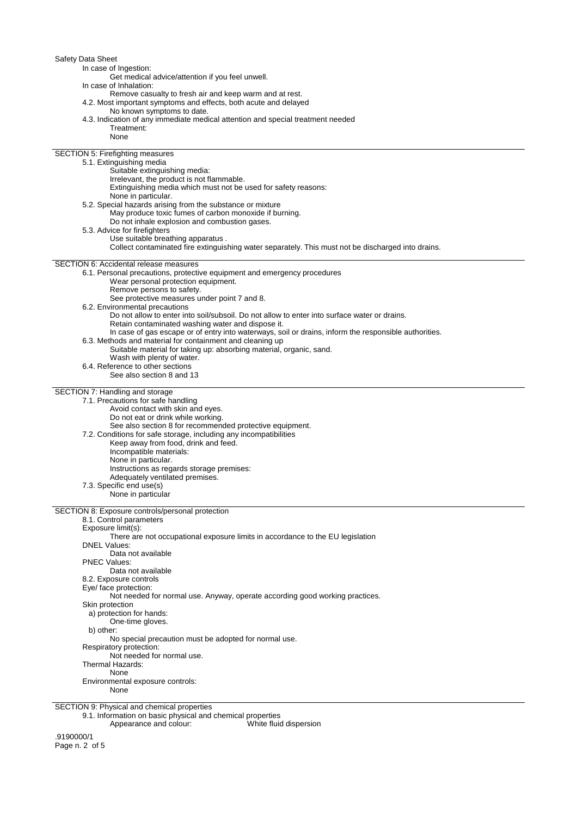| Safety Data Sheet                                                                                                                                                  |
|--------------------------------------------------------------------------------------------------------------------------------------------------------------------|
| In case of Ingestion:                                                                                                                                              |
| Get medical advice/attention if you feel unwell.<br>In case of Inhalation:                                                                                         |
| Remove casualty to fresh air and keep warm and at rest.                                                                                                            |
| 4.2. Most important symptoms and effects, both acute and delayed                                                                                                   |
| No known symptoms to date.                                                                                                                                         |
| 4.3. Indication of any immediate medical attention and special treatment needed<br>Treatment:                                                                      |
| None                                                                                                                                                               |
|                                                                                                                                                                    |
| SECTION 5: Firefighting measures<br>5.1. Extinguishing media                                                                                                       |
| Suitable extinguishing media:                                                                                                                                      |
| Irrelevant, the product is not flammable.                                                                                                                          |
| Extinguishing media which must not be used for safety reasons:<br>None in particular.                                                                              |
| 5.2. Special hazards arising from the substance or mixture                                                                                                         |
| May produce toxic fumes of carbon monoxide if burning.                                                                                                             |
| Do not inhale explosion and combustion gases.                                                                                                                      |
| 5.3. Advice for firefighters<br>Use suitable breathing apparatus.                                                                                                  |
| Collect contaminated fire extinguishing water separately. This must not be discharged into drains.                                                                 |
| SECTION 6: Accidental release measures                                                                                                                             |
| 6.1. Personal precautions, protective equipment and emergency procedures                                                                                           |
| Wear personal protection equipment.                                                                                                                                |
| Remove persons to safety.                                                                                                                                          |
| See protective measures under point 7 and 8.<br>6.2. Environmental precautions                                                                                     |
| Do not allow to enter into soil/subsoil. Do not allow to enter into surface water or drains.                                                                       |
| Retain contaminated washing water and dispose it.                                                                                                                  |
| In case of gas escape or of entry into waterways, soil or drains, inform the responsible authorities.<br>6.3. Methods and material for containment and cleaning up |
| Suitable material for taking up: absorbing material, organic, sand.                                                                                                |
| Wash with plenty of water.                                                                                                                                         |
| 6.4. Reference to other sections<br>See also section 8 and 13                                                                                                      |
|                                                                                                                                                                    |
| SECTION 7: Handling and storage                                                                                                                                    |
| 7.1. Precautions for safe handling<br>Avoid contact with skin and eyes.                                                                                            |
| Do not eat or drink while working.                                                                                                                                 |
| See also section 8 for recommended protective equipment.                                                                                                           |
| 7.2. Conditions for safe storage, including any incompatibilities                                                                                                  |
| Keep away from food, drink and feed.<br>Incompatible materials:                                                                                                    |
| None in particular.                                                                                                                                                |
| Instructions as regards storage premises:                                                                                                                          |
| Adequately ventilated premises.<br>7.3. Specific end use(s)                                                                                                        |
| None in particular                                                                                                                                                 |
|                                                                                                                                                                    |
| SECTION 8: Exposure controls/personal protection<br>8.1. Control parameters                                                                                        |
| Exposure limit(s):                                                                                                                                                 |
| There are not occupational exposure limits in accordance to the EU legislation                                                                                     |
| <b>DNEL Values:</b><br>Data not available                                                                                                                          |
| <b>PNEC Values:</b>                                                                                                                                                |
| Data not available                                                                                                                                                 |
|                                                                                                                                                                    |
| 8.2. Exposure controls                                                                                                                                             |
| Eye/ face protection:<br>Not needed for normal use. Anyway, operate according good working practices.                                                              |
| Skin protection                                                                                                                                                    |
| a) protection for hands:                                                                                                                                           |
| One-time gloves.<br>b) other:                                                                                                                                      |
| No special precaution must be adopted for normal use.                                                                                                              |
| Respiratory protection:                                                                                                                                            |
| Not needed for normal use.<br>Thermal Hazards:                                                                                                                     |
| None                                                                                                                                                               |
| Environmental exposure controls:                                                                                                                                   |
| None                                                                                                                                                               |

9.1. Information on basic physical and chemical properties

Appearance and colour: White fluid dispersion

.9190000/1 Page n. 2 of 5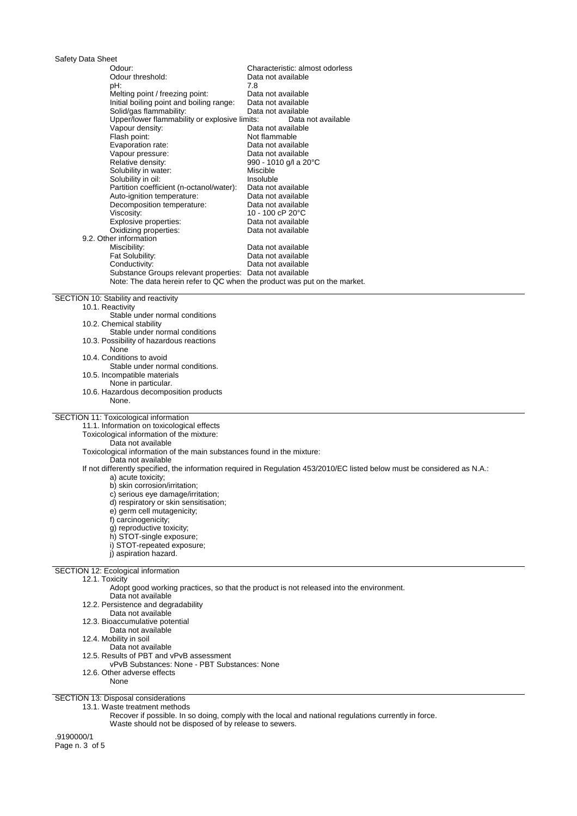| Safety Data Sheet                                                           |                                                                                                                           |
|-----------------------------------------------------------------------------|---------------------------------------------------------------------------------------------------------------------------|
| Odour:                                                                      | Characteristic: almost odorless                                                                                           |
| Odour threshold:                                                            | Data not available                                                                                                        |
| pH:                                                                         | 7.8                                                                                                                       |
| Melting point / freezing point:<br>Initial boiling point and boiling range: | Data not available<br>Data not available                                                                                  |
| Solid/gas flammability:                                                     | Data not available                                                                                                        |
| Upper/lower flammability or explosive limits:                               | Data not available                                                                                                        |
| Vapour density:                                                             | Data not available                                                                                                        |
| Flash point:                                                                | Not flammable                                                                                                             |
| Evaporation rate:                                                           | Data not available                                                                                                        |
| Vapour pressure:                                                            | Data not available                                                                                                        |
| Relative density:                                                           | 990 - 1010 g/l a 20°C                                                                                                     |
| Solubility in water:                                                        | Miscible                                                                                                                  |
| Solubility in oil:                                                          | Insoluble                                                                                                                 |
| Partition coefficient (n-octanol/water):<br>Auto-ignition temperature:      | Data not available<br>Data not available                                                                                  |
| Decomposition temperature:                                                  | Data not available                                                                                                        |
| Viscosity:                                                                  | 10 - 100 cP 20°C                                                                                                          |
| Explosive properties:                                                       | Data not available                                                                                                        |
| Oxidizing properties:                                                       | Data not available                                                                                                        |
| 9.2. Other information                                                      |                                                                                                                           |
| Miscibility:                                                                | Data not available                                                                                                        |
| Fat Solubility:                                                             | Data not available                                                                                                        |
| Conductivity:                                                               | Data not available                                                                                                        |
| Substance Groups relevant properties: Data not available                    |                                                                                                                           |
| Note: The data herein refer to QC when the product was put on the market.   |                                                                                                                           |
| SECTION 10: Stability and reactivity                                        |                                                                                                                           |
| 10.1. Reactivity                                                            |                                                                                                                           |
| Stable under normal conditions                                              |                                                                                                                           |
| 10.2. Chemical stability                                                    |                                                                                                                           |
| Stable under normal conditions                                              |                                                                                                                           |
| 10.3. Possibility of hazardous reactions                                    |                                                                                                                           |
| None                                                                        |                                                                                                                           |
| 10.4. Conditions to avoid<br>Stable under normal conditions.                |                                                                                                                           |
| 10.5. Incompatible materials                                                |                                                                                                                           |
| None in particular.                                                         |                                                                                                                           |
| 10.6. Hazardous decomposition products                                      |                                                                                                                           |
| None.                                                                       |                                                                                                                           |
|                                                                             |                                                                                                                           |
| SECTION 11: Toxicological information                                       |                                                                                                                           |
| 11.1. Information on toxicological effects                                  |                                                                                                                           |
| Toxicological information of the mixture:<br>Data not available             |                                                                                                                           |
| Toxicological information of the main substances found in the mixture:      |                                                                                                                           |
| Data not available                                                          |                                                                                                                           |
|                                                                             | If not differently specified, the information required in Regulation 453/2010/EC listed below must be considered as N.A.: |
| a) acute toxicity;                                                          |                                                                                                                           |
| b) skin corrosion/irritation;                                               |                                                                                                                           |
| c) serious eye damage/irritation;                                           |                                                                                                                           |
| d) respiratory or skin sensitisation;                                       |                                                                                                                           |
| e) germ cell mutagenicity;                                                  |                                                                                                                           |
| f) carcinogenicity;                                                         |                                                                                                                           |
| g) reproductive toxicity;<br>h) STOT-single exposure;                       |                                                                                                                           |
| i) STOT-repeated exposure;                                                  |                                                                                                                           |
| j) aspiration hazard.                                                       |                                                                                                                           |
|                                                                             |                                                                                                                           |
| SECTION 12: Ecological information                                          |                                                                                                                           |
| 12.1. Toxicity                                                              |                                                                                                                           |
|                                                                             | Adopt good working practices, so that the product is not released into the environment.                                   |
| Data not available<br>12.2. Persistence and degradability                   |                                                                                                                           |
| Data not available                                                          |                                                                                                                           |
| 12.3. Bioaccumulative potential                                             |                                                                                                                           |
| Data not available                                                          |                                                                                                                           |
| 12.4. Mobility in soil                                                      |                                                                                                                           |
| Data not available                                                          |                                                                                                                           |
| 12.5. Results of PBT and vPvB assessment                                    |                                                                                                                           |
| vPvB Substances: None - PBT Substances: None                                |                                                                                                                           |
| 12.6. Other adverse effects                                                 |                                                                                                                           |
| None                                                                        |                                                                                                                           |
| SECTION 13: Disposal considerations                                         |                                                                                                                           |
| 13.1. Waste treatment methods                                               |                                                                                                                           |

Recover if possible. In so doing, comply with the local and national regulations currently in force. Waste should not be disposed of by release to sewers.

.9190000/1 Page n. 3 of 5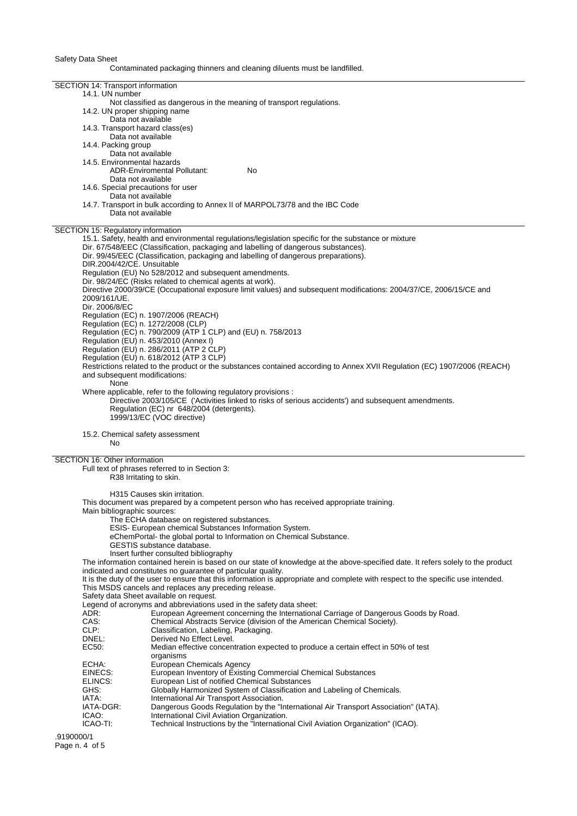Safety Data Sheet

Contaminated packaging thinners and cleaning diluents must be landfilled.

|              | SECTION 14: Transport information                                                                                                 |
|--------------|-----------------------------------------------------------------------------------------------------------------------------------|
|              | 14.1. UN number                                                                                                                   |
|              | Not classified as dangerous in the meaning of transport regulations.                                                              |
|              | 14.2. UN proper shipping name                                                                                                     |
|              | Data not available                                                                                                                |
|              | 14.3. Transport hazard class(es)                                                                                                  |
|              |                                                                                                                                   |
|              | Data not available                                                                                                                |
|              | 14.4. Packing group                                                                                                               |
|              | Data not available                                                                                                                |
|              | 14.5. Environmental hazards                                                                                                       |
|              | <b>ADR-Enviromental Pollutant:</b><br>No                                                                                          |
|              | Data not available                                                                                                                |
|              | 14.6. Special precautions for user                                                                                                |
|              |                                                                                                                                   |
|              | Data not available                                                                                                                |
|              | 14.7. Transport in bulk according to Annex II of MARPOL73/78 and the IBC Code                                                     |
|              | Data not available                                                                                                                |
|              |                                                                                                                                   |
|              | SECTION 15: Regulatory information                                                                                                |
|              | 15.1. Safety, health and environmental regulations/legislation specific for the substance or mixture                              |
|              | Dir. 67/548/EEC (Classification, packaging and labelling of dangerous substances).                                                |
|              |                                                                                                                                   |
|              | Dir. 99/45/EEC (Classification, packaging and labelling of dangerous preparations).                                               |
|              | DIR.2004/42/CE. Unsuitable                                                                                                        |
|              | Regulation (EU) No 528/2012 and subsequent amendments.                                                                            |
|              | Dir. 98/24/EC (Risks related to chemical agents at work).                                                                         |
|              | Directive 2000/39/CE (Occupational exposure limit values) and subsequent modifications: 2004/37/CE, 2006/15/CE and                |
| 2009/161/UE. |                                                                                                                                   |
|              | Dir. 2006/8/EC                                                                                                                    |
|              |                                                                                                                                   |
|              | Regulation (EC) n. 1907/2006 (REACH)                                                                                              |
|              | Regulation (EC) n. 1272/2008 (CLP)                                                                                                |
|              | Regulation (EC) n. 790/2009 (ATP 1 CLP) and (EU) n. 758/2013                                                                      |
|              | Regulation (EU) n. 453/2010 (Annex I)                                                                                             |
|              | Regulation (EU) n. 286/2011 (ATP 2 CLP)                                                                                           |
|              | Regulation (EU) n. 618/2012 (ATP 3 CLP)                                                                                           |
|              | Restrictions related to the product or the substances contained according to Annex XVII Regulation (EC) 1907/2006 (REACH)         |
|              |                                                                                                                                   |
|              | and subsequent modifications:                                                                                                     |
|              | None                                                                                                                              |
|              | Where applicable, refer to the following regulatory provisions :                                                                  |
|              |                                                                                                                                   |
|              |                                                                                                                                   |
|              | Directive 2003/105/CE ('Activities linked to risks of serious accidents') and subsequent amendments.                              |
|              | Regulation (EC) nr 648/2004 (detergents).                                                                                         |
|              | 1999/13/EC (VOC directive)                                                                                                        |
|              |                                                                                                                                   |
|              | 15.2. Chemical safety assessment                                                                                                  |
|              | No                                                                                                                                |
|              |                                                                                                                                   |
|              | SECTION 16: Other information                                                                                                     |
|              | Full text of phrases referred to in Section 3:                                                                                    |
|              |                                                                                                                                   |
|              | R38 Irritating to skin.                                                                                                           |
|              |                                                                                                                                   |
|              | H315 Causes skin irritation.                                                                                                      |
|              | This document was prepared by a competent person who has received appropriate training.                                           |
|              | Main bibliographic sources:                                                                                                       |
|              | The ECHA database on registered substances.                                                                                       |
|              | ESIS- European chemical Substances Information System.                                                                            |
|              | eChemPortal- the global portal to Information on Chemical Substance.                                                              |
|              |                                                                                                                                   |
|              | GESTIS substance database.                                                                                                        |
|              | Insert further consulted bibliography                                                                                             |
|              | The information contained herein is based on our state of knowledge at the above-specified date. It refers solely to the product  |
|              | indicated and constitutes no guarantee of particular quality.                                                                     |
|              | It is the duty of the user to ensure that this information is appropriate and complete with respect to the specific use intended. |
|              | This MSDS cancels and replaces any preceding release.                                                                             |
|              | Safety data Sheet available on request.                                                                                           |
|              |                                                                                                                                   |
|              | Legend of acronyms and abbreviations used in the safety data sheet:                                                               |
| ADR:         | European Agreement concerning the International Carriage of Dangerous Goods by Road.                                              |
| CAS:         | Chemical Abstracts Service (division of the American Chemical Society).                                                           |
| CLP:         | Classification, Labeling, Packaging.                                                                                              |
| DNEL:        | Derived No Effect Level.                                                                                                          |
| EC50:        | Median effective concentration expected to produce a certain effect in 50% of test                                                |
|              | organisms                                                                                                                         |
| ECHA:        |                                                                                                                                   |
|              | European Chemicals Agency                                                                                                         |
| EINECS:      | European Inventory of Existing Commercial Chemical Substances                                                                     |
| ELINCS:      | European List of notified Chemical Substances                                                                                     |
| GHS:         | Globally Harmonized System of Classification and Labeling of Chemicals.                                                           |
| IATA:        | International Air Transport Association.                                                                                          |
| IATA-DGR:    | Dangerous Goods Regulation by the "International Air Transport Association" (IATA).                                               |
| ICAO:        | International Civil Aviation Organization.                                                                                        |
| ICAO-TI:     | Technical Instructions by the "International Civil Aviation Organization" (ICAO).                                                 |

.9190000/1 Page n. 4 of 5